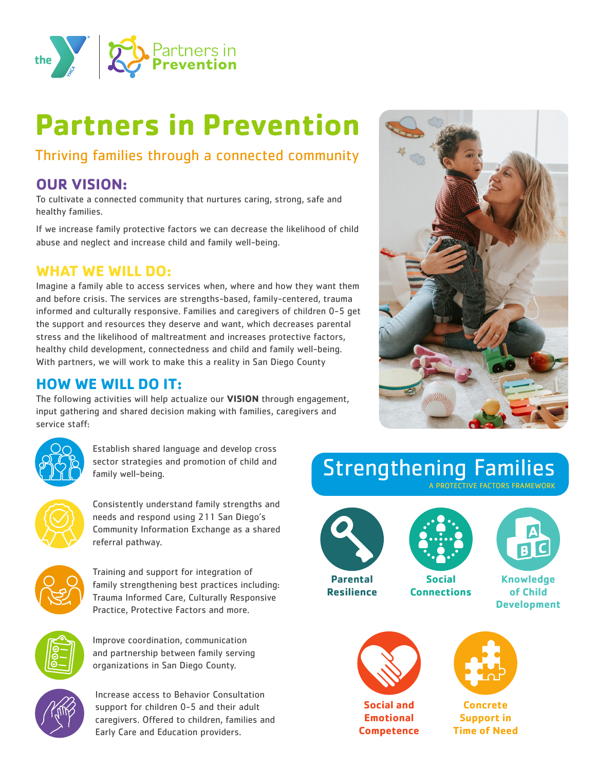

# **Partners in Prevention**

## Thriving families through a connected community

## **OUR VISION:**

To cultivate a connected community that nurtures caring, strong, safe and healthy families.

If we increase family protective factors we can decrease the likelihood of child abuse and neglect and increase child and family well-being.

#### **WHAT WE WILL DO:**

Imagine a family able to access services when, where and how they want them and before crisis. The services are strengths-based, family-centered, trauma informed and culturally responsive. Families and caregivers of children 0-5 get the support and resources they deserve and want, which decreases parental stress and the likelihood of maltreatment and increases protective factors, healthy child development, connectedness and child and family well-being. With partners, we will work to make this a reality in San Diego County

#### **HOW WE WILL DO IT:**

The following activities will help actualize our **VISION** through engagement, input gathering and shared decision making with families, caregivers and service staff:



Establish shared language and develop cross sector strategies and promotion of child and family well-being.



Consistently understand family strengths and needs and respond using 211 San Diego's Community Information Exchange as a shared referral pathway.



Training and support for integration of family strengthening best practices including: Trauma Informed Care, Culturally Responsive Practice, Protective Factors and more.



Improve coordination, communication and partnership between family serving organizations in San Diego County.



Increase access to Behavior Consultation support for children 0-5 and their adult caregivers. Offered to children, families and Early Care and Education providers.



## Strengthening Families A PROTECTIVE FACTORS FRAMEWORK



**Parental Resilience**





**Knowledge of Child Development**



**Social and Emotional Competence**



**Concrete Support in Time of Need**